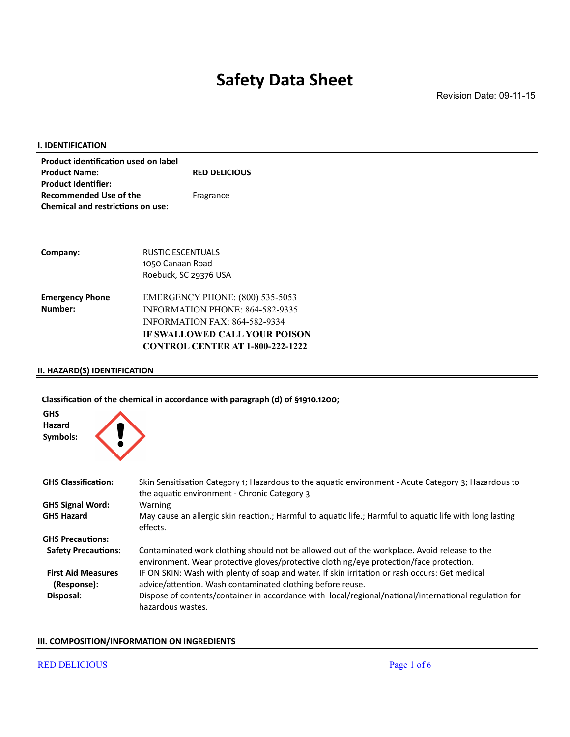Revision Date: 09-11-15

| <b>Product identification used on label</b><br><b>Product Name:</b><br><b>RED DELICIOUS</b><br><b>Product Identifier:</b><br><b>Recommended Use of the</b><br>Fragrance<br><b>Chemical and restrictions on use:</b><br><b>RUSTIC ESCENTUALS</b><br>Company:<br>1050 Canaan Road<br>Roebuck, SC 29376 USA<br><b>EMERGENCY PHONE: (800) 535-5053</b><br><b>Emergency Phone</b><br>Number:<br>INFORMATION PHONE: 864-582-9335<br><b>INFORMATION FAX: 864-582-9334</b><br><b>IF SWALLOWED CALL YOUR POISON</b><br><b>CONTROL CENTER AT 1-800-222-1222</b> | I. IDENTIFICATION |  |
|-------------------------------------------------------------------------------------------------------------------------------------------------------------------------------------------------------------------------------------------------------------------------------------------------------------------------------------------------------------------------------------------------------------------------------------------------------------------------------------------------------------------------------------------------------|-------------------|--|
|                                                                                                                                                                                                                                                                                                                                                                                                                                                                                                                                                       |                   |  |
|                                                                                                                                                                                                                                                                                                                                                                                                                                                                                                                                                       |                   |  |
|                                                                                                                                                                                                                                                                                                                                                                                                                                                                                                                                                       |                   |  |
|                                                                                                                                                                                                                                                                                                                                                                                                                                                                                                                                                       |                   |  |
|                                                                                                                                                                                                                                                                                                                                                                                                                                                                                                                                                       |                   |  |
|                                                                                                                                                                                                                                                                                                                                                                                                                                                                                                                                                       |                   |  |
|                                                                                                                                                                                                                                                                                                                                                                                                                                                                                                                                                       |                   |  |
|                                                                                                                                                                                                                                                                                                                                                                                                                                                                                                                                                       |                   |  |
|                                                                                                                                                                                                                                                                                                                                                                                                                                                                                                                                                       |                   |  |
|                                                                                                                                                                                                                                                                                                                                                                                                                                                                                                                                                       |                   |  |
|                                                                                                                                                                                                                                                                                                                                                                                                                                                                                                                                                       |                   |  |
|                                                                                                                                                                                                                                                                                                                                                                                                                                                                                                                                                       |                   |  |
|                                                                                                                                                                                                                                                                                                                                                                                                                                                                                                                                                       |                   |  |
|                                                                                                                                                                                                                                                                                                                                                                                                                                                                                                                                                       |                   |  |

### **II. HAZARD(S) IDENTIFICATION**

### **Classification of the chemical in accordance with paragraph (d) of §1910.1200;**



| <b>GHS Classification:</b>               | Skin Sensitisation Category 1; Hazardous to the aquatic environment - Acute Category 3; Hazardous to<br>the aquatic environment - Chronic Category 3                                   |
|------------------------------------------|----------------------------------------------------------------------------------------------------------------------------------------------------------------------------------------|
| <b>GHS Signal Word:</b>                  | <b>Warning</b>                                                                                                                                                                         |
| <b>GHS Hazard</b>                        | May cause an allergic skin reaction.; Harmful to aquatic life.; Harmful to aquatic life with long lasting<br>effects.                                                                  |
| <b>GHS Precautions:</b>                  |                                                                                                                                                                                        |
| <b>Safety Precautions:</b>               | Contaminated work clothing should not be allowed out of the workplace. Avoid release to the<br>environment. Wear protective gloves/protective clothing/eye protection/face protection. |
| <b>First Aid Measures</b><br>(Response): | IF ON SKIN: Wash with plenty of soap and water. If skin irritation or rash occurs: Get medical<br>advice/attention. Wash contaminated clothing before reuse.                           |
| Disposal:                                | Dispose of contents/container in accordance with local/regional/national/international regulation for<br>hazardous wastes.                                                             |

#### **III. COMPOSITION/INFORMATION ON INGREDIENTS**

#### RED DELICIOUS Page 1 of 6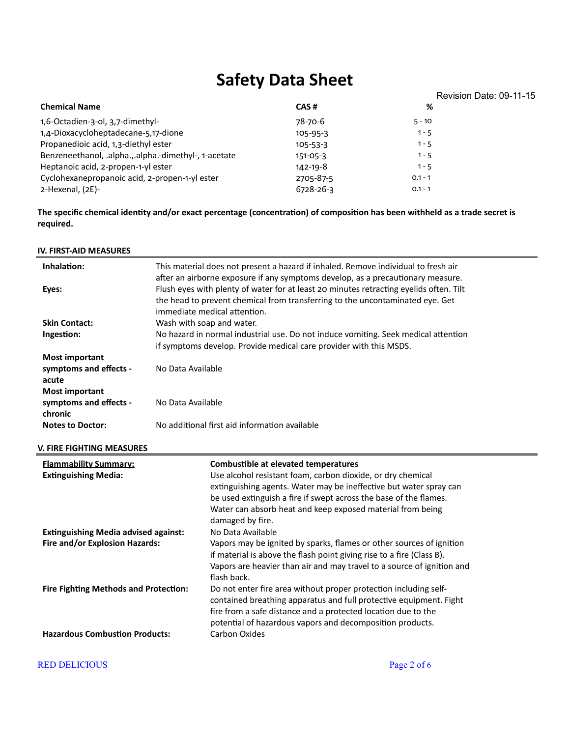|                                                      |                |           | Revision Date: 09-11-15 |
|------------------------------------------------------|----------------|-----------|-------------------------|
| <b>Chemical Name</b>                                 | CAS#           | %         |                         |
| 1,6-Octadien-3-ol, 3,7-dimethyl-                     | 78-70-6        | $5 - 10$  |                         |
| 1,4-Dioxacycloheptadecane-5,17-dione                 | $105 - 95 - 3$ | $1 - 5$   |                         |
| Propanedioic acid, 1,3-diethyl ester                 | $105 - 53 - 3$ | $1 - 5$   |                         |
| Benzeneethanol, .alpha.,.alpha.-dimethyl-, 1-acetate | $151 - 05 - 3$ | $1 - 5$   |                         |
| Heptanoic acid, 2-propen-1-yl ester                  | 142-19-8       | $1 - 5$   |                         |
| Cyclohexanepropanoic acid, 2-propen-1-yl ester       | 2705-87-5      | $0.1 - 1$ |                         |
| 2-Hexenal, (2E)-                                     | 6728-26-3      | $0.1 - 1$ |                         |

**The specific chemical identity and/or exact percentage (concentration) of composition has been withheld as a trade secret is required.**

**IV. FIRST-AID MEASURES Inhalation:** This material does not present a hazard if inhaled. Remove individual to fresh air after an airborne exposure if any symptoms develop, as a precautionary measure. **Eyes:** Flush eyes with plenty of water for at least 20 minutes retracting eyelids often. Tilt the head to prevent chemical from transferring to the uncontaminated eye. Get immediate medical attention. **Skin Contact:** Wash with soap and water. **Ingestion:** No hazard in normal industrial use. Do not induce vomiting. Seek medical attention if symptoms develop. Provide medical care provider with this MSDS. **Most important symptoms and effects acute** No Data Available **Most important symptoms and effects chronic** No Data Available **Notes to Doctor:** No additional first aid information available **V. FIRE FIGHTING MEASURES Flammability Summary: Combustible at elevated temperatures Extinguishing Media:** Use alcohol resistant foam, carbon dioxide, or dry chemical extinguishing agents. Water may be ineffective but water spray can be used extinguish a fire if swept across the base of the flames. Water can absorb heat and keep exposed material from being damaged by fire. **Extinguishing Media advised against:** No Data Available **Fire and/or Explosion Hazards:** Vapors may be ignited by sparks, flames or other sources of ignition if material is above the flash point giving rise to a fire (Class B). Vapors are heavier than air and may travel to a source of ignition and flash back. **Fire Fighting Methods and Protection:** Do not enter fire area without proper protection including selfcontained breathing apparatus and full protective equipment. Fight fire from a safe distance and a protected location due to the potential of hazardous vapors and decomposition products. **Hazardous Combustion Products:** Carbon Oxides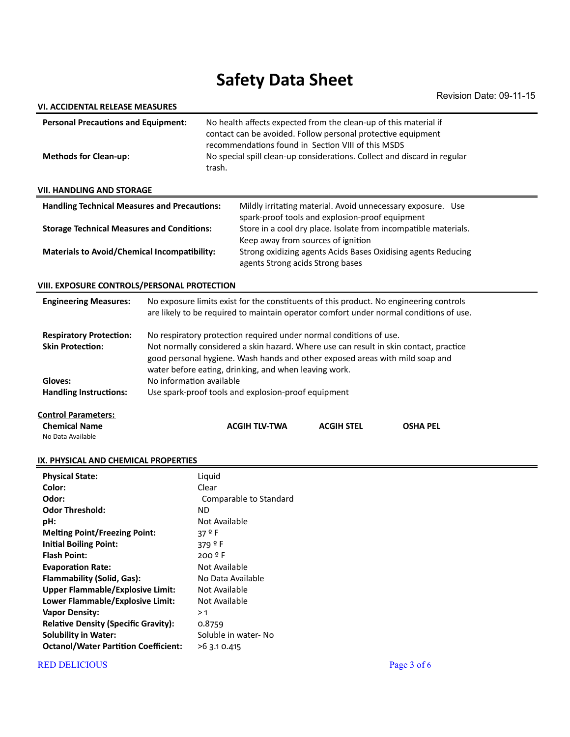| VI. ACCIDENTAL RELEASE MEASURES                                                            |                                                                                                                                                                                                                                                                                                      |                                                                                                                                                                                                                                                                    |                                                                                                                                         |                   |                                                                                        |  |
|--------------------------------------------------------------------------------------------|------------------------------------------------------------------------------------------------------------------------------------------------------------------------------------------------------------------------------------------------------------------------------------------------------|--------------------------------------------------------------------------------------------------------------------------------------------------------------------------------------------------------------------------------------------------------------------|-----------------------------------------------------------------------------------------------------------------------------------------|-------------------|----------------------------------------------------------------------------------------|--|
| <b>Personal Precautions and Equipment:</b><br><b>Methods for Clean-up:</b><br>trash.       |                                                                                                                                                                                                                                                                                                      | No health affects expected from the clean-up of this material if<br>contact can be avoided. Follow personal protective equipment<br>recommendations found in Section VIII of this MSDS<br>No special spill clean-up considerations. Collect and discard in regular |                                                                                                                                         |                   |                                                                                        |  |
| <b>VII. HANDLING AND STORAGE</b>                                                           |                                                                                                                                                                                                                                                                                                      |                                                                                                                                                                                                                                                                    |                                                                                                                                         |                   |                                                                                        |  |
| <b>Handling Technical Measures and Precautions:</b>                                        |                                                                                                                                                                                                                                                                                                      |                                                                                                                                                                                                                                                                    |                                                                                                                                         |                   | Mildly irritating material. Avoid unnecessary exposure. Use                            |  |
|                                                                                            |                                                                                                                                                                                                                                                                                                      |                                                                                                                                                                                                                                                                    | spark-proof tools and explosion-proof equipment                                                                                         |                   |                                                                                        |  |
| <b>Storage Technical Measures and Conditions:</b>                                          |                                                                                                                                                                                                                                                                                                      |                                                                                                                                                                                                                                                                    | Store in a cool dry place. Isolate from incompatible materials.                                                                         |                   |                                                                                        |  |
| <b>Materials to Avoid/Chemical Incompatibility:</b>                                        |                                                                                                                                                                                                                                                                                                      |                                                                                                                                                                                                                                                                    | Keep away from sources of ignition<br>Strong oxidizing agents Acids Bases Oxidising agents Reducing<br>agents Strong acids Strong bases |                   |                                                                                        |  |
| VIII. EXPOSURE CONTROLS/PERSONAL PROTECTION                                                |                                                                                                                                                                                                                                                                                                      |                                                                                                                                                                                                                                                                    |                                                                                                                                         |                   |                                                                                        |  |
| <b>Engineering Measures:</b>                                                               |                                                                                                                                                                                                                                                                                                      |                                                                                                                                                                                                                                                                    |                                                                                                                                         |                   | No exposure limits exist for the constituents of this product. No engineering controls |  |
|                                                                                            |                                                                                                                                                                                                                                                                                                      |                                                                                                                                                                                                                                                                    |                                                                                                                                         |                   | are likely to be required to maintain operator comfort under normal conditions of use. |  |
| <b>Respiratory Protection:</b><br><b>Skin Protection:</b>                                  | No respiratory protection required under normal conditions of use.<br>Not normally considered a skin hazard. Where use can result in skin contact, practice<br>good personal hygiene. Wash hands and other exposed areas with mild soap and<br>water before eating, drinking, and when leaving work. |                                                                                                                                                                                                                                                                    |                                                                                                                                         |                   |                                                                                        |  |
| Gloves:                                                                                    | No information available                                                                                                                                                                                                                                                                             |                                                                                                                                                                                                                                                                    |                                                                                                                                         |                   |                                                                                        |  |
| <b>Handling Instructions:</b>                                                              | Use spark-proof tools and explosion-proof equipment                                                                                                                                                                                                                                                  |                                                                                                                                                                                                                                                                    |                                                                                                                                         |                   |                                                                                        |  |
| <b>Control Parameters:</b><br><b>Chemical Name</b><br>No Data Available                    |                                                                                                                                                                                                                                                                                                      |                                                                                                                                                                                                                                                                    | <b>ACGIH TLV-TWA</b>                                                                                                                    | <b>ACGIH STEL</b> | <b>OSHA PEL</b>                                                                        |  |
| IX. PHYSICAL AND CHEMICAL PROPERTIES                                                       |                                                                                                                                                                                                                                                                                                      |                                                                                                                                                                                                                                                                    |                                                                                                                                         |                   |                                                                                        |  |
| <b>Physical State:</b>                                                                     |                                                                                                                                                                                                                                                                                                      | Liquid                                                                                                                                                                                                                                                             |                                                                                                                                         |                   |                                                                                        |  |
| Color:                                                                                     |                                                                                                                                                                                                                                                                                                      | Clear                                                                                                                                                                                                                                                              |                                                                                                                                         |                   |                                                                                        |  |
| Odor:                                                                                      |                                                                                                                                                                                                                                                                                                      |                                                                                                                                                                                                                                                                    | Comparable to Standard                                                                                                                  |                   |                                                                                        |  |
| <b>Odor Threshold:</b>                                                                     |                                                                                                                                                                                                                                                                                                      | ND                                                                                                                                                                                                                                                                 |                                                                                                                                         |                   |                                                                                        |  |
| Not Available<br>pH:                                                                       |                                                                                                                                                                                                                                                                                                      |                                                                                                                                                                                                                                                                    |                                                                                                                                         |                   |                                                                                        |  |
| <b>Melting Point/Freezing Point:</b><br>37 <sup>º</sup> F<br><b>Initial Boiling Point:</b> |                                                                                                                                                                                                                                                                                                      |                                                                                                                                                                                                                                                                    |                                                                                                                                         |                   |                                                                                        |  |
| 379 <sup>º</sup> F<br><b>Flash Point:</b><br>200 º F                                       |                                                                                                                                                                                                                                                                                                      |                                                                                                                                                                                                                                                                    |                                                                                                                                         |                   |                                                                                        |  |
| <b>Evaporation Rate:</b><br>Not Available                                                  |                                                                                                                                                                                                                                                                                                      |                                                                                                                                                                                                                                                                    |                                                                                                                                         |                   |                                                                                        |  |
| Flammability (Solid, Gas):                                                                 |                                                                                                                                                                                                                                                                                                      | No Data Available                                                                                                                                                                                                                                                  |                                                                                                                                         |                   |                                                                                        |  |
| <b>Upper Flammable/Explosive Limit:</b>                                                    |                                                                                                                                                                                                                                                                                                      | Not Available                                                                                                                                                                                                                                                      |                                                                                                                                         |                   |                                                                                        |  |
| Lower Flammable/Explosive Limit:                                                           |                                                                                                                                                                                                                                                                                                      | Not Available                                                                                                                                                                                                                                                      |                                                                                                                                         |                   |                                                                                        |  |
| <b>Vapor Density:</b>                                                                      |                                                                                                                                                                                                                                                                                                      | >1                                                                                                                                                                                                                                                                 |                                                                                                                                         |                   |                                                                                        |  |
| <b>Relative Density (Specific Gravity):</b>                                                |                                                                                                                                                                                                                                                                                                      | 0.8759                                                                                                                                                                                                                                                             |                                                                                                                                         |                   |                                                                                        |  |
| <b>Solubility in Water:</b>                                                                |                                                                                                                                                                                                                                                                                                      |                                                                                                                                                                                                                                                                    | Soluble in water-No                                                                                                                     |                   |                                                                                        |  |
| <b>Octanol/Water Partition Coefficient:</b>                                                |                                                                                                                                                                                                                                                                                                      | >6 3.1 0.415                                                                                                                                                                                                                                                       |                                                                                                                                         |                   |                                                                                        |  |

### RED DELICIOUS Page 3 of 6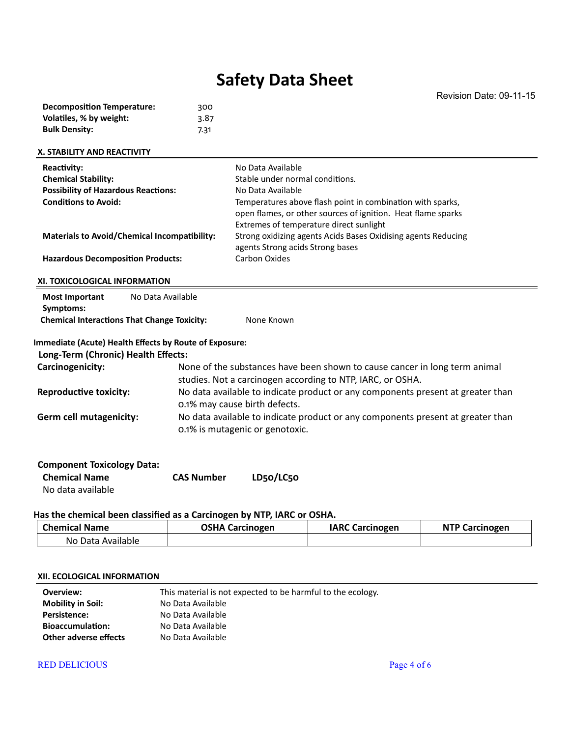agents Strong acids Strong bases

| <b>X. STABILITY AND REACTIVITY</b>         |                                                              |
|--------------------------------------------|--------------------------------------------------------------|
| Reactivity:                                | No Data Available                                            |
| <b>Chemical Stability:</b>                 | Stable under normal conditions.                              |
| <b>Possibility of Hazardous Reactions:</b> | No Data Available                                            |
| <b>Conditions to Avoid:</b>                | Temperatures above flash point in combination with sparks,   |
|                                            | open flames, or other sources of ignition. Heat flame sparks |
|                                            | Extremes of temperature direct sunlight                      |

**Materials to Avoid/Chemical Incompatibility:** Strong oxidizing agents Acids Bases Oxidising agents Reducing

Hazardous Decomposition Products: Carbon Oxides

#### **XI. TOXICOLOGICAL INFORMATION**

| <b>Most Important</b>                                           | No Data Available |            |
|-----------------------------------------------------------------|-------------------|------------|
| Symptoms:<br><b>Chemical Interactions That Change Toxicity:</b> |                   | None Known |

#### **Immediate (Acute) Health Effects by Route of Exposure:**

#### **Long-Term (Chronic) Health Effects:**

| Carcinogenicity:              | None of the substances have been shown to cause cancer in long term animal<br>studies. Not a carcinogen according to NTP, IARC, or OSHA. |
|-------------------------------|------------------------------------------------------------------------------------------------------------------------------------------|
| <b>Reproductive toxicity:</b> | No data available to indicate product or any components present at greater than<br>0.1% may cause birth defects.                         |
| Germ cell mutagenicity:       | No data available to indicate product or any components present at greater than<br>0.1% is mutagenic or genotoxic.                       |

| <b>Component Toxicology Data:</b> |                   |           |
|-----------------------------------|-------------------|-----------|
| <b>Chemical Name</b>              | <b>CAS Number</b> | LD50/LC50 |
| No data available                 |                   |           |

#### **Has the chemical been classified as a Carcinogen by NTP, IARC or OSHA.**

| <b>Chemical Name</b> | <b>OSHA Carcinogen</b> | <b>IARC Carcinogen</b> | <b>NTP Carcinogen</b> |
|----------------------|------------------------|------------------------|-----------------------|
| No Data Available    |                        |                        |                       |

#### **XII. ECOLOGICAL INFORMATION**

| Overview:                | This material is not expected to be harmful to the ecology. |
|--------------------------|-------------------------------------------------------------|
| <b>Mobility in Soil:</b> | No Data Available                                           |
| <b>Persistence:</b>      | No Data Available                                           |
| <b>Bioaccumulation:</b>  | No Data Available                                           |
| Other adverse effects    | No Data Available                                           |

#### RED DELICIOUS Page 4 of 6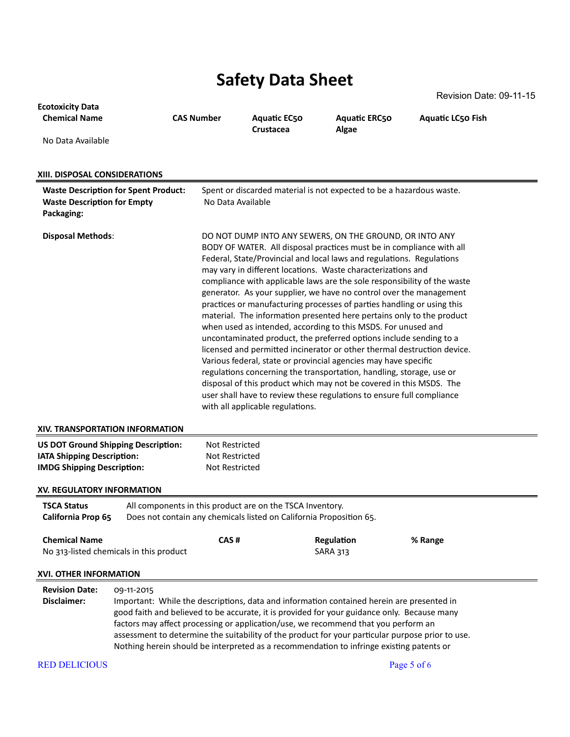RED DELICIOUS Page 5 of 6 **Ecotoxicity Data Chemical Name CAS Number Aquatic EC50 Crustacea Aquatic ERC50 Algae Aquatic LC50 Fish** No Data Available **XIII. DISPOSAL CONSIDERATIONS Waste Description for Spent Product:** Spent or discarded material is not expected to be a hazardous waste. **Waste Description for Empty Packaging:** No Data Available **Disposal Methods:** DO NOT DUMP INTO ANY SEWERS, ON THE GROUND, OR INTO ANY BODY OF WATER. All disposal practices must be in compliance with all Federal, State/Provincial and local laws and regulations. Regulations may vary in different locations. Waste characterizations and compliance with applicable laws are the sole responsibility of the waste generator. As your supplier, we have no control over the management practices or manufacturing processes of parties handling or using this material. The information presented here pertains only to the product when used as intended, according to this MSDS. For unused and uncontaminated product, the preferred options include sending to a licensed and permitted incinerator or other thermal destruction device. Various federal, state or provincial agencies may have specific regulations concerning the transportation, handling, storage, use or disposal of this product which may not be covered in this MSDS. The user shall have to review these regulations to ensure full compliance with all applicable regulations. **XIV. TRANSPORTATION INFORMATION US DOT Ground Shipping Description:** Not Restricted **IATA Shipping Description:** Not Restricted **IMDG Shipping Description:** Not Restricted **XV. REGULATORY INFORMATION TSCA Status** All components in this product are on the TSCA Inventory. **California Prop 65** Does not contain any chemicals listed on California Proposition 65. **Chemical Name CAS # Regulation % Range** No 313-listed chemicals in this product SARA 313 **XVI. OTHER INFORMATION Revision Date:** 09-11-2015 **Disclaimer:** Important: While the descriptions, data and information contained herein are presented in good faith and believed to be accurate, it is provided for your guidance only. Because many factors may affect processing or application/use, we recommend that you perform an assessment to determine the suitability of the product for your particular purpose prior to use. Nothing herein should be interpreted as a recommendation to infringe existing patents or

Revision Date: 09-11-15